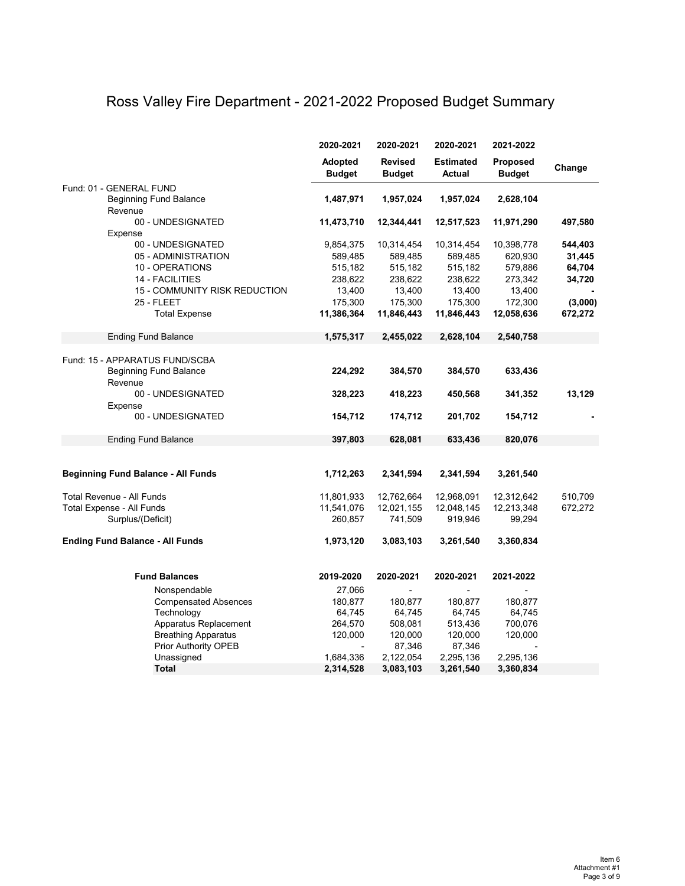## Ross Valley Fire Department - 2021-2022 Proposed Budget Summary

|                                           | 2020-2021                       | 2020-2021                       | 2020-2021                         | 2021-2022                        |         |
|-------------------------------------------|---------------------------------|---------------------------------|-----------------------------------|----------------------------------|---------|
|                                           | <b>Adopted</b><br><b>Budget</b> | <b>Revised</b><br><b>Budget</b> | <b>Estimated</b><br><b>Actual</b> | <b>Proposed</b><br><b>Budget</b> | Change  |
| Fund: 01 - GENERAL FUND                   |                                 |                                 |                                   |                                  |         |
| <b>Beginning Fund Balance</b>             | 1,487,971                       | 1,957,024                       | 1,957,024                         | 2,628,104                        |         |
| Revenue                                   |                                 |                                 |                                   |                                  |         |
| 00 - UNDESIGNATED                         | 11,473,710                      | 12,344,441                      | 12,517,523                        | 11,971,290                       | 497,580 |
| Expense                                   |                                 |                                 |                                   |                                  |         |
| 00 - UNDESIGNATED                         | 9,854,375                       | 10,314,454                      | 10,314,454                        | 10,398,778                       | 544,403 |
| 05 - ADMINISTRATION                       | 589,485                         | 589,485                         | 589,485                           | 620,930                          | 31,445  |
| 10 - OPERATIONS                           | 515,182                         | 515,182                         | 515,182                           | 579,886                          | 64,704  |
| 14 - FACILITIES                           | 238,622                         | 238,622                         | 238,622                           | 273,342                          | 34,720  |
| 15 - COMMUNITY RISK REDUCTION             | 13,400                          | 13,400                          | 13,400                            | 13,400                           |         |
| 25 - FLEET                                | 175,300                         | 175,300                         | 175,300                           | 172,300                          | (3,000) |
| <b>Total Expense</b>                      | 11,386,364                      | 11,846,443                      | 11,846,443                        | 12,058,636                       | 672,272 |
| <b>Ending Fund Balance</b>                | 1,575,317                       | 2,455,022                       | 2,628,104                         | 2,540,758                        |         |
|                                           |                                 |                                 |                                   |                                  |         |
| Fund: 15 - APPARATUS FUND/SCBA            |                                 |                                 |                                   |                                  |         |
| <b>Beginning Fund Balance</b><br>Revenue  | 224,292                         | 384,570                         | 384,570                           | 633,436                          |         |
| 00 - UNDESIGNATED                         | 328,223                         | 418,223                         | 450,568                           | 341,352                          | 13,129  |
| Expense                                   |                                 |                                 |                                   |                                  |         |
| 00 - UNDESIGNATED                         | 154,712                         | 174,712                         | 201,702                           | 154,712                          |         |
| <b>Ending Fund Balance</b>                | 397,803                         | 628,081                         | 633,436                           | 820,076                          |         |
|                                           |                                 |                                 |                                   |                                  |         |
| <b>Beginning Fund Balance - All Funds</b> | 1,712,263                       | 2,341,594                       | 2,341,594                         | 3,261,540                        |         |
|                                           |                                 |                                 |                                   |                                  |         |
| Total Revenue - All Funds                 | 11,801,933                      | 12,762,664                      | 12,968,091                        | 12,312,642                       | 510,709 |
| <b>Total Expense - All Funds</b>          | 11,541,076                      | 12,021,155                      | 12,048,145                        | 12,213,348                       | 672,272 |
| Surplus/(Deficit)                         | 260,857                         | 741,509                         | 919,946                           | 99,294                           |         |
| <b>Ending Fund Balance - All Funds</b>    | 1,973,120                       | 3,083,103                       | 3,261,540                         | 3,360,834                        |         |
|                                           |                                 |                                 |                                   |                                  |         |
| <b>Fund Balances</b>                      | 2019-2020                       | 2020-2021                       | 2020-2021                         | 2021-2022                        |         |
| Nonspendable                              | 27,066                          |                                 |                                   |                                  |         |
| <b>Compensated Absences</b>               | 180,877                         | 180,877                         | 180,877                           | 180,877                          |         |
| Technology                                | 64,745                          | 64,745                          | 64,745                            | 64,745                           |         |
| Apparatus Replacement                     | 264,570                         | 508,081                         | 513,436                           | 700,076                          |         |
| <b>Breathing Apparatus</b>                | 120,000                         | 120,000                         | 120,000                           | 120,000                          |         |
| <b>Prior Authority OPEB</b>               |                                 | 87,346                          | 87,346                            |                                  |         |
| Unassigned                                | 1,684,336                       | 2,122,054                       | 2,295,136                         | 2,295,136                        |         |
| <b>Total</b>                              | 2,314,528                       | 3,083,103                       | 3,261,540                         | 3,360,834                        |         |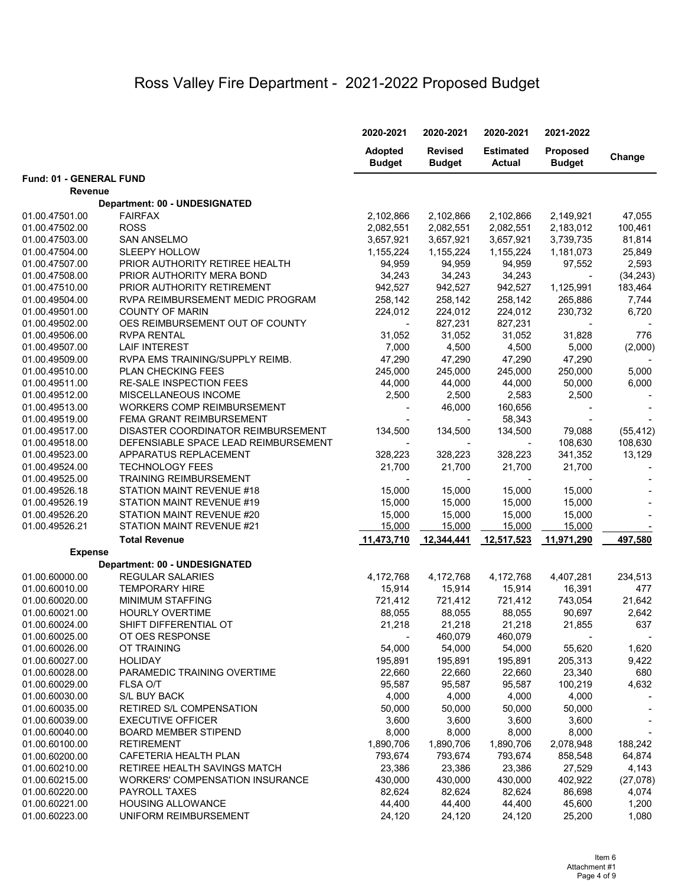## Ross Valley Fire Department - 2021-2022 Proposed Budget

|                         |                                        | 2020-2021                       | 2020-2021                       | 2020-2021                         | 2021-2022                        |           |
|-------------------------|----------------------------------------|---------------------------------|---------------------------------|-----------------------------------|----------------------------------|-----------|
|                         |                                        | <b>Adopted</b><br><b>Budget</b> | <b>Revised</b><br><b>Budget</b> | <b>Estimated</b><br><b>Actual</b> | <b>Proposed</b><br><b>Budget</b> | Change    |
| Fund: 01 - GENERAL FUND |                                        |                                 |                                 |                                   |                                  |           |
| <b>Revenue</b>          |                                        |                                 |                                 |                                   |                                  |           |
|                         | <b>Department: 00 - UNDESIGNATED</b>   |                                 |                                 |                                   |                                  |           |
| 01.00.47501.00          | <b>FAIRFAX</b>                         | 2,102,866                       | 2,102,866                       | 2,102,866                         | 2,149,921                        | 47,055    |
| 01.00.47502.00          | <b>ROSS</b>                            | 2,082,551                       | 2,082,551                       | 2,082,551                         | 2,183,012                        | 100,461   |
| 01.00.47503.00          | <b>SAN ANSELMO</b>                     | 3,657,921                       | 3,657,921                       | 3,657,921                         | 3,739,735                        | 81,814    |
| 01.00.47504.00          | <b>SLEEPY HOLLOW</b>                   | 1,155,224                       | 1,155,224                       | 1,155,224                         | 1,181,073                        | 25,849    |
| 01.00.47507.00          | PRIOR AUTHORITY RETIREE HEALTH         | 94,959                          | 94,959                          | 94,959                            | 97,552                           | 2,593     |
| 01.00.47508.00          | PRIOR AUTHORITY MERA BOND              | 34,243                          | 34,243                          | 34,243                            | $\blacksquare$                   | (34, 243) |
| 01.00.47510.00          | PRIOR AUTHORITY RETIREMENT             | 942,527                         | 942,527                         | 942,527                           | 1,125,991                        | 183,464   |
| 01.00.49504.00          | RVPA REIMBURSEMENT MEDIC PROGRAM       | 258,142                         | 258,142                         | 258,142                           | 265,886                          | 7,744     |
| 01.00.49501.00          | <b>COUNTY OF MARIN</b>                 | 224,012                         | 224,012                         | 224,012                           | 230,732                          | 6,720     |
| 01.00.49502.00          | OES REIMBURSEMENT OUT OF COUNTY        |                                 | 827,231                         | 827,231                           |                                  |           |
| 01.00.49506.00          | <b>RVPA RENTAL</b>                     | 31,052                          | 31,052                          | 31,052                            | 31,828                           | 776       |
| 01.00.49507.00          | <b>LAIF INTEREST</b>                   | 7,000                           | 4,500                           | 4,500                             | 5,000                            | (2,000)   |
| 01.00.49509.00          | RVPA EMS TRAINING/SUPPLY REIMB.        | 47,290                          | 47,290                          | 47,290                            | 47,290                           |           |
| 01.00.49510.00          | PLAN CHECKING FEES                     | 245,000                         | 245,000                         | 245,000                           | 250,000                          | 5,000     |
| 01.00.49511.00          | <b>RE-SALE INSPECTION FEES</b>         | 44,000                          | 44,000                          | 44,000                            | 50,000                           | 6,000     |
| 01.00.49512.00          | MISCELLANEOUS INCOME                   | 2,500                           | 2,500                           | 2,583                             | 2,500                            |           |
| 01.00.49513.00          | <b>WORKERS COMP REIMBURSEMENT</b>      |                                 | 46,000                          | 160,656                           |                                  |           |
| 01.00.49519.00          | FEMA GRANT REIMBURSEMENT               |                                 |                                 | 58,343                            |                                  |           |
| 01.00.49517.00          | DISASTER COORDINATOR REIMBURSEMENT     | 134,500                         | 134,500                         | 134,500                           | 79,088                           | (55, 412) |
| 01.00.49518.00          | DEFENSIABLE SPACE LEAD REIMBURSEMENT   |                                 |                                 |                                   | 108,630                          | 108,630   |
| 01.00.49523.00          | APPARATUS REPLACEMENT                  | 328,223                         | 328,223                         | 328,223                           | 341,352                          | 13,129    |
| 01.00.49524.00          | <b>TECHNOLOGY FEES</b>                 | 21,700                          | 21,700                          | 21,700                            | 21,700                           |           |
| 01.00.49525.00          | <b>TRAINING REIMBURSEMENT</b>          |                                 |                                 |                                   |                                  |           |
| 01.00.49526.18          | STATION MAINT REVENUE #18              | 15,000                          | 15,000                          | 15,000                            | 15,000                           |           |
| 01.00.49526.19          | STATION MAINT REVENUE #19              | 15,000                          | 15,000                          | 15,000                            | 15,000                           |           |
| 01.00.49526.20          | STATION MAINT REVENUE #20              | 15,000                          | 15,000                          | 15,000                            | 15,000                           |           |
| 01.00.49526.21          | STATION MAINT REVENUE #21              | 15,000                          | 15,000                          | 15,000                            | 15,000                           |           |
|                         | <b>Total Revenue</b>                   | 11,473,710                      | 12,344,441                      | 12,517,523                        | 11,971,290                       | 497,580   |
| <b>Expense</b>          |                                        |                                 |                                 |                                   |                                  |           |
|                         | <b>Department: 00 - UNDESIGNATED</b>   |                                 |                                 |                                   |                                  |           |
| 01.00.60000.00          | <b>REGULAR SALARIES</b>                | 4,172,768                       | 4,172,768                       | 4,172,768                         | 4,407,281                        | 234,513   |
| 01.00.60010.00          | <b>TEMPORARY HIRE</b>                  | 15,914                          | 15,914                          | 15,914                            | 16,391                           | 477       |
| 01.00.60020.00          | MINIMUM STAFFING                       | 721,412                         | 721,412                         | 721,412                           | 743,054                          | 21,642    |
| 01.00.60021.00          | <b>HOURLY OVERTIME</b>                 | 88,055                          | 88,055                          | 88,055                            | 90,697                           | 2,642     |
| 01.00.60024.00          | SHIFT DIFFERENTIAL OT                  | 21,218                          | 21,218                          | 21,218                            | 21,855                           | 637       |
| 01.00.60025.00          | OT OES RESPONSE                        |                                 | 460,079                         | 460,079                           |                                  |           |
| 01.00.60026.00          | OT TRAINING                            | 54,000                          | 54,000                          | 54,000                            | 55,620                           | 1,620     |
| 01.00.60027.00          | <b>HOLIDAY</b>                         | 195,891                         | 195,891                         | 195,891                           | 205,313                          | 9,422     |
| 01.00.60028.00          | PARAMEDIC TRAINING OVERTIME            | 22,660                          | 22,660                          | 22,660                            | 23,340                           | 680       |
| 01.00.60029.00          | FLSA O/T                               | 95,587                          | 95,587                          | 95,587                            | 100,219                          | 4,632     |
| 01.00.60030.00          | <b>S/L BUY BACK</b>                    | 4,000                           | 4,000                           | 4,000                             | 4,000                            |           |
| 01.00.60035.00          | RETIRED S/L COMPENSATION               | 50,000                          | 50,000                          | 50,000                            | 50,000                           |           |
| 01.00.60039.00          | <b>EXECUTIVE OFFICER</b>               | 3,600                           | 3,600                           | 3,600                             | 3,600                            |           |
| 01.00.60040.00          | <b>BOARD MEMBER STIPEND</b>            | 8,000                           | 8,000                           | 8,000                             | 8,000                            |           |
| 01.00.60100.00          | <b>RETIREMENT</b>                      | 1,890,706                       | 1,890,706                       | 1,890,706                         | 2,078,948                        | 188,242   |
| 01.00.60200.00          | CAFETERIA HEALTH PLAN                  | 793,674                         | 793,674                         | 793,674                           | 858,548                          | 64,874    |
| 01.00.60210.00          | RETIREE HEALTH SAVINGS MATCH           | 23,386                          | 23,386                          | 23,386                            | 27,529                           | 4,143     |
| 01.00.60215.00          | <b>WORKERS' COMPENSATION INSURANCE</b> | 430,000                         | 430,000                         | 430,000                           | 402,922                          | (27, 078) |
| 01.00.60220.00          | <b>PAYROLL TAXES</b>                   | 82,624                          | 82,624                          | 82,624                            | 86,698                           | 4,074     |
| 01.00.60221.00          | <b>HOUSING ALLOWANCE</b>               | 44,400                          | 44,400                          | 44,400                            | 45,600                           | 1,200     |
| 01.00.60223.00          | UNIFORM REIMBURSEMENT                  | 24,120                          | 24,120                          | 24,120                            | 25,200                           | 1,080     |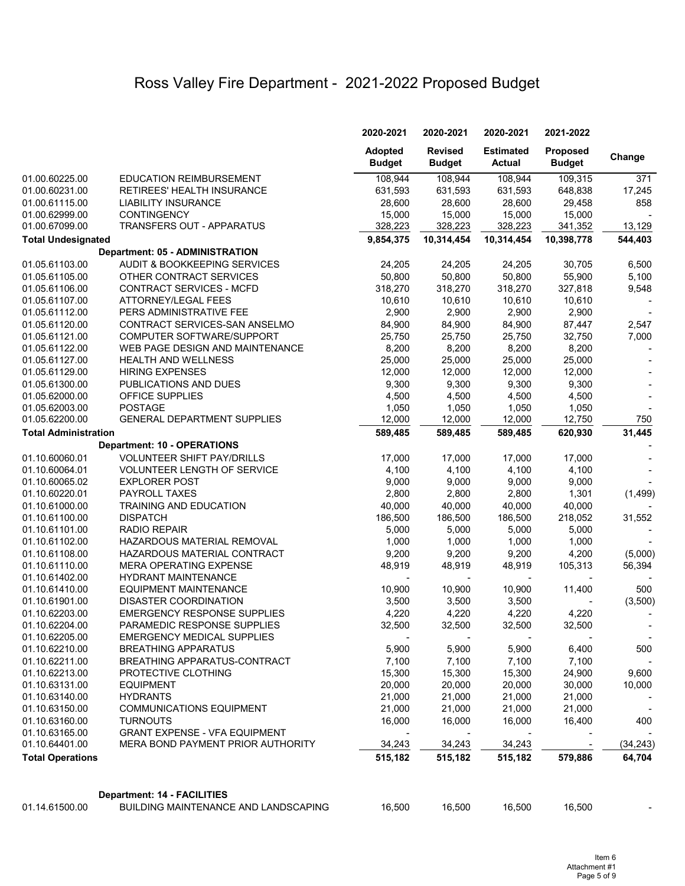## Ross Valley Fire Department - 2021-2022 Proposed Budget

|                             |                                                                            | 2020-2021                       | 2020-2021                       | 2020-2021                         | 2021-2022                        |           |
|-----------------------------|----------------------------------------------------------------------------|---------------------------------|---------------------------------|-----------------------------------|----------------------------------|-----------|
|                             |                                                                            | <b>Adopted</b><br><b>Budget</b> | <b>Revised</b><br><b>Budget</b> | <b>Estimated</b><br><b>Actual</b> | <b>Proposed</b><br><b>Budget</b> | Change    |
| 01.00.60225.00              | <b>EDUCATION REIMBURSEMENT</b>                                             | 108,944                         | 108,944                         | 108,944                           | 109,315                          | 371       |
| 01.00.60231.00              | RETIREES' HEALTH INSURANCE                                                 | 631,593                         | 631,593                         | 631,593                           | 648,838                          | 17,245    |
| 01.00.61115.00              | <b>LIABILITY INSURANCE</b>                                                 | 28,600                          | 28,600                          | 28,600                            | 29,458                           | 858       |
| 01.00.62999.00              | <b>CONTINGENCY</b>                                                         | 15,000                          | 15,000                          | 15,000                            | 15,000                           |           |
| 01.00.67099.00              | TRANSFERS OUT - APPARATUS                                                  | 328,223                         | 328,223                         | 328,223                           | 341,352                          | 13,129    |
| <b>Total Undesignated</b>   |                                                                            | 9,854,375                       | 10,314,454                      | 10,314,454                        | 10,398,778                       | 544,403   |
|                             | <b>Department: 05 - ADMINISTRATION</b>                                     |                                 |                                 |                                   |                                  |           |
| 01.05.61103.00              | <b>AUDIT &amp; BOOKKEEPING SERVICES</b>                                    | 24,205                          | 24,205                          | 24,205                            | 30,705                           | 6,500     |
| 01.05.61105.00              | OTHER CONTRACT SERVICES                                                    | 50,800                          | 50,800                          | 50,800                            | 55,900                           | 5,100     |
| 01.05.61106.00              | <b>CONTRACT SERVICES - MCFD</b>                                            | 318,270                         | 318,270                         | 318,270                           | 327,818                          | 9,548     |
| 01.05.61107.00              | <b>ATTORNEY/LEGAL FEES</b>                                                 | 10,610                          | 10,610                          | 10,610                            | 10,610                           |           |
| 01.05.61112.00              | PERS ADMINISTRATIVE FEE                                                    | 2,900                           | 2,900                           | 2,900                             | 2,900                            |           |
| 01.05.61120.00              | CONTRACT SERVICES-SAN ANSELMO                                              | 84,900                          | 84,900                          | 84,900                            | 87,447                           | 2,547     |
| 01.05.61121.00              | COMPUTER SOFTWARE/SUPPORT                                                  | 25,750                          | 25,750                          | 25,750                            | 32,750                           | 7,000     |
| 01.05.61122.00              | WEB PAGE DESIGN AND MAINTENANCE                                            | 8,200                           | 8,200                           | 8,200                             | 8,200                            |           |
| 01.05.61127.00              | <b>HEALTH AND WELLNESS</b>                                                 | 25,000                          | 25,000                          | 25,000                            | 25,000                           |           |
| 01.05.61129.00              | <b>HIRING EXPENSES</b>                                                     | 12,000                          | 12,000                          | 12,000                            | 12,000                           |           |
| 01.05.61300.00              | PUBLICATIONS AND DUES                                                      | 9,300                           | 9,300                           | 9,300                             | 9,300                            |           |
| 01.05.62000.00              | OFFICE SUPPLIES                                                            | 4,500                           | 4,500                           | 4,500                             | 4,500                            |           |
| 01.05.62003.00              | <b>POSTAGE</b>                                                             | 1,050                           | 1,050                           | 1,050                             | 1,050                            |           |
| 01.05.62200.00              | <b>GENERAL DEPARTMENT SUPPLIES</b>                                         | 12,000                          | 12,000                          | 12,000                            | 12,750                           | 750       |
| <b>Total Administration</b> |                                                                            | 589,485                         | 589,485                         | 589,485                           | 620,930                          | 31,445    |
|                             | <b>Department: 10 - OPERATIONS</b>                                         |                                 |                                 |                                   |                                  |           |
| 01.10.60060.01              | <b>VOLUNTEER SHIFT PAY/DRILLS</b>                                          | 17,000                          | 17,000                          | 17,000                            | 17,000                           |           |
| 01.10.60064.01              | <b>VOLUNTEER LENGTH OF SERVICE</b>                                         | 4,100                           | 4,100                           | 4,100                             | 4,100                            |           |
| 01.10.60065.02              | <b>EXPLORER POST</b>                                                       | 9,000                           | 9,000                           | 9,000                             | 9,000                            |           |
| 01.10.60220.01              | PAYROLL TAXES                                                              | 2,800                           | 2,800                           | 2,800                             | 1,301                            | (1,499)   |
| 01.10.61000.00              | <b>TRAINING AND EDUCATION</b>                                              | 40,000                          | 40,000                          | 40,000                            | 40,000                           |           |
| 01.10.61100.00              | <b>DISPATCH</b>                                                            | 186,500                         | 186,500                         | 186,500                           | 218,052                          | 31,552    |
| 01.10.61101.00              | <b>RADIO REPAIR</b>                                                        | 5,000                           | 5,000                           | 5,000                             | 5,000                            |           |
| 01.10.61102.00              | HAZARDOUS MATERIAL REMOVAL                                                 | 1,000                           | 1,000                           | 1,000                             | 1,000                            |           |
| 01.10.61108.00              | HAZARDOUS MATERIAL CONTRACT                                                | 9,200                           | 9,200                           | 9,200                             | 4,200                            | (5,000)   |
| 01.10.61110.00              | <b>MERA OPERATING EXPENSE</b>                                              | 48,919                          | 48,919                          | 48,919                            | 105,313                          | 56,394    |
| 01.10.61402.00              | HYDRANT MAINTENANCE                                                        |                                 |                                 |                                   |                                  |           |
| 01.10.61410.00              | <b>EQUIPMENT MAINTENANCE</b>                                               | 10,900                          | 10,900                          | 10,900                            | 11,400                           | 500       |
| 01.10.61901.00              | <b>DISASTER COORDINATION</b>                                               | 3,500                           | 3,500                           | 3,500                             |                                  | (3,500)   |
| 01.10.62203.00              | <b>EMERGENCY RESPONSE SUPPLIES</b>                                         | 4,220                           | 4,220                           | 4,220                             | 4,220                            |           |
| 01.10.62204.00              | PARAMEDIC RESPONSE SUPPLIES                                                | 32,500                          | 32,500                          | 32,500                            | 32,500                           |           |
| 01.10.62205.00              | <b>EMERGENCY MEDICAL SUPPLIES</b>                                          |                                 |                                 |                                   |                                  |           |
| 01.10.62210.00              | <b>BREATHING APPARATUS</b>                                                 | 5,900                           | 5,900                           | 5,900                             | 6,400                            | 500       |
| 01.10.62211.00              | <b>BREATHING APPARATUS-CONTRACT</b>                                        | 7,100                           | 7,100                           | 7,100                             | 7,100                            |           |
| 01.10.62213.00              | PROTECTIVE CLOTHING                                                        | 15,300                          | 15,300                          | 15,300                            | 24,900                           | 9,600     |
| 01.10.63131.00              | <b>EQUIPMENT</b>                                                           | 20,000                          | 20,000                          | 20,000                            | 30,000                           | 10,000    |
| 01.10.63140.00              | <b>HYDRANTS</b>                                                            | 21,000                          | 21,000                          | 21,000                            | 21,000                           |           |
| 01.10.63150.00              | <b>COMMUNICATIONS EQUIPMENT</b>                                            | 21,000                          | 21,000                          | 21,000                            | 21,000                           |           |
| 01.10.63160.00              | <b>TURNOUTS</b>                                                            | 16,000                          | 16,000                          | 16,000                            | 16,400                           | 400       |
| 01.10.63165.00              | <b>GRANT EXPENSE - VFA EQUIPMENT</b>                                       |                                 |                                 |                                   |                                  |           |
| 01.10.64401.00              | MERA BOND PAYMENT PRIOR AUTHORITY                                          | 34,243                          | 34,243                          | 34,243                            |                                  | (34, 243) |
| <b>Total Operations</b>     |                                                                            | 515,182                         | 515,182                         | 515,182                           | 579,886                          | 64,704    |
|                             |                                                                            |                                 |                                 |                                   |                                  |           |
| 01.14.61500.00              | <b>Department: 14 - FACILITIES</b><br>BUILDING MAINTENANCE AND LANDSCAPING | 16,500                          | 16,500                          | 16,500                            | 16,500                           |           |
|                             |                                                                            |                                 |                                 |                                   |                                  |           |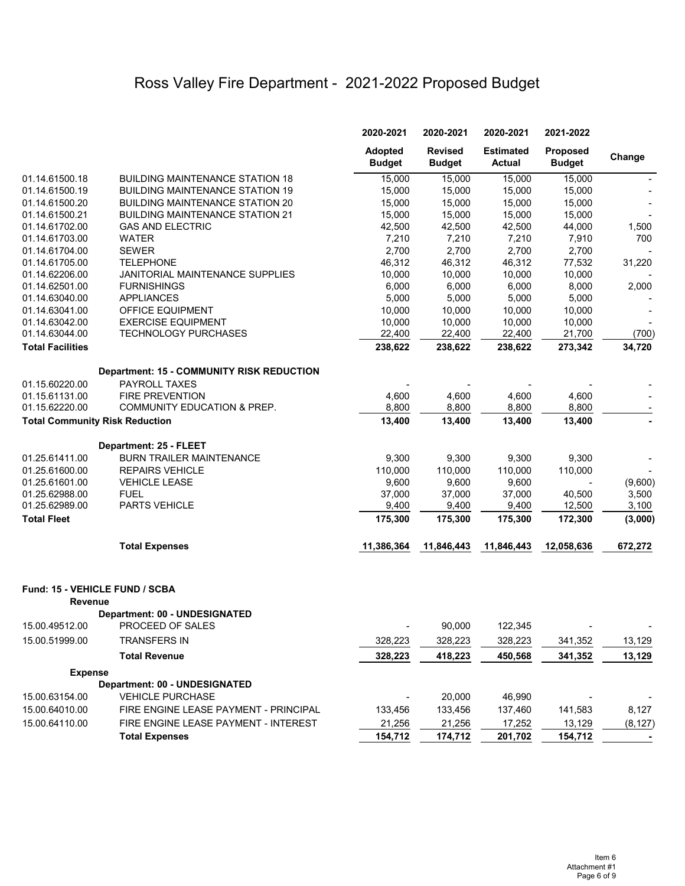## Ross Valley Fire Department - 2021-2022 Proposed Budget

|                                       |                                                          | 2020-2021                       | 2020-2021                       | 2020-2021                         | 2021-2022                        |          |
|---------------------------------------|----------------------------------------------------------|---------------------------------|---------------------------------|-----------------------------------|----------------------------------|----------|
|                                       |                                                          | <b>Adopted</b><br><b>Budget</b> | <b>Revised</b><br><b>Budget</b> | <b>Estimated</b><br><b>Actual</b> | <b>Proposed</b><br><b>Budget</b> | Change   |
| 01.14.61500.18                        | <b>BUILDING MAINTENANCE STATION 18</b>                   | 15,000                          | 15,000                          | 15,000                            | 15,000                           |          |
| 01.14.61500.19                        | <b>BUILDING MAINTENANCE STATION 19</b>                   | 15,000                          | 15,000                          | 15,000                            | 15,000                           |          |
| 01.14.61500.20                        | <b>BUILDING MAINTENANCE STATION 20</b>                   | 15,000                          | 15,000                          | 15,000                            | 15,000                           |          |
| 01.14.61500.21                        | <b>BUILDING MAINTENANCE STATION 21</b>                   | 15,000                          | 15,000                          | 15,000                            | 15,000                           |          |
| 01.14.61702.00                        | <b>GAS AND ELECTRIC</b>                                  | 42,500                          | 42,500                          | 42,500                            | 44,000                           | 1,500    |
| 01.14.61703.00                        | <b>WATER</b>                                             | 7,210                           | 7,210                           | 7,210                             | 7,910                            | 700      |
| 01.14.61704.00                        | <b>SEWER</b>                                             | 2,700                           | 2,700                           | 2,700                             | 2,700                            |          |
| 01.14.61705.00                        | <b>TELEPHONE</b>                                         | 46,312                          | 46,312                          | 46,312                            | 77,532                           | 31,220   |
| 01.14.62206.00                        | JANITORIAL MAINTENANCE SUPPLIES                          | 10,000                          | 10,000                          | 10,000                            | 10,000                           |          |
| 01.14.62501.00                        | <b>FURNISHINGS</b>                                       | 6,000                           | 6,000                           | 6,000                             | 8,000                            | 2,000    |
| 01.14.63040.00                        | <b>APPLIANCES</b>                                        | 5,000                           | 5,000                           | 5,000                             | 5,000                            |          |
| 01.14.63041.00                        | <b>OFFICE EQUIPMENT</b>                                  | 10,000                          | 10,000                          | 10,000                            | 10,000                           |          |
| 01.14.63042.00                        | <b>EXERCISE EQUIPMENT</b>                                | 10,000                          | 10,000                          | 10,000                            | 10,000                           |          |
| 01.14.63044.00                        | <b>TECHNOLOGY PURCHASES</b>                              | 22,400                          | 22,400                          | 22,400                            | 21,700                           | (700)    |
| <b>Total Facilities</b>               |                                                          | 238,622                         | 238,622                         | 238,622                           | 273,342                          | 34,720   |
|                                       | <b>Department: 15 - COMMUNITY RISK REDUCTION</b>         |                                 |                                 |                                   |                                  |          |
| 01.15.60220.00                        | PAYROLL TAXES                                            |                                 |                                 |                                   |                                  |          |
| 01.15.61131.00                        | <b>FIRE PREVENTION</b>                                   | 4,600                           | 4,600                           | 4,600                             | 4,600                            |          |
| 01.15.62220.00                        | <b>COMMUNITY EDUCATION &amp; PREP.</b>                   | 8,800                           | 8,800                           | 8,800                             | 8,800                            |          |
| <b>Total Community Risk Reduction</b> |                                                          | 13,400                          | 13,400                          | 13,400                            | 13,400                           |          |
|                                       | Department: 25 - FLEET                                   |                                 |                                 |                                   |                                  |          |
| 01.25.61411.00                        | <b>BURN TRAILER MAINTENANCE</b>                          | 9,300                           | 9,300                           | 9,300                             | 9,300                            |          |
| 01.25.61600.00                        | <b>REPAIRS VEHICLE</b>                                   | 110,000                         | 110,000                         | 110,000                           | 110,000                          |          |
| 01.25.61601.00                        | <b>VEHICLE LEASE</b>                                     | 9,600                           | 9,600                           | 9,600                             |                                  | (9,600)  |
| 01.25.62988.00                        | <b>FUEL</b>                                              | 37,000                          | 37,000                          | 37,000                            | 40,500                           | 3,500    |
| 01.25.62989.00                        | PARTS VEHICLE                                            | 9,400                           | 9,400                           | 9,400                             | 12,500                           | 3,100    |
| <b>Total Fleet</b>                    |                                                          | 175,300                         | 175,300                         | 175,300                           | 172,300                          | (3,000)  |
|                                       | <b>Total Expenses</b>                                    | 11,386,364                      | 11,846,443                      | 11,846,443                        | 12,058,636                       | 672,272  |
| Fund: 15 - VEHICLE FUND / SCBA        |                                                          |                                 |                                 |                                   |                                  |          |
| <b>Revenue</b>                        |                                                          |                                 |                                 |                                   |                                  |          |
| 15.00.49512.00                        | <b>Department: 00 - UNDESIGNATED</b><br>PROCEED OF SALES |                                 | 90,000                          | 122,345                           |                                  |          |
| 15.00.51999.00                        | <b>TRANSFERS IN</b>                                      | 328,223                         | 328,223                         | 328,223                           | 341,352                          | 13,129   |
|                                       | <b>Total Revenue</b>                                     | 328,223                         | 418,223                         | 450,568                           | 341,352                          | 13,129   |
| <b>Expense</b>                        |                                                          |                                 |                                 |                                   |                                  |          |
|                                       | <b>Department: 00 - UNDESIGNATED</b>                     |                                 |                                 |                                   |                                  |          |
| 15.00.63154.00                        | <b>VEHICLE PURCHASE</b>                                  |                                 | 20,000                          | 46,990                            |                                  |          |
| 15.00.64010.00                        | FIRE ENGINE LEASE PAYMENT - PRINCIPAL                    | 133,456                         | 133,456                         | 137,460                           | 141,583                          | 8,127    |
| 15.00.64110.00                        | FIRE ENGINE LEASE PAYMENT - INTEREST                     | 21,256                          | 21,256                          | 17,252                            | 13,129                           | (8, 127) |
|                                       | <b>Total Expenses</b>                                    | 154,712                         | 174,712                         | 201,702                           | 154,712                          |          |
|                                       |                                                          |                                 |                                 |                                   |                                  |          |